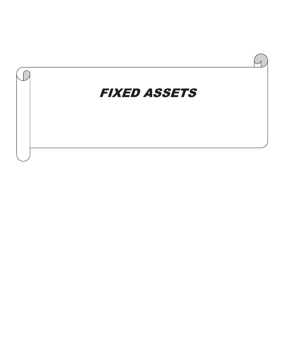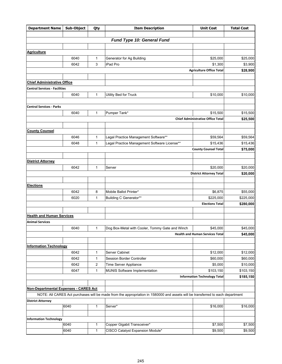| <b>Department Name</b>                | Sub-Object   | Qty          | <b>Item Description</b>                                                                                                        | <b>Unit Cost</b>                         | <b>Total Cost</b>      |
|---------------------------------------|--------------|--------------|--------------------------------------------------------------------------------------------------------------------------------|------------------------------------------|------------------------|
|                                       |              |              |                                                                                                                                |                                          |                        |
|                                       |              |              | Fund Type 10: General Fund                                                                                                     |                                          |                        |
| <b>Agriculture</b>                    |              |              |                                                                                                                                |                                          |                        |
|                                       | 6040         | 1            | Generator for Ag Building                                                                                                      | \$25,000                                 | \$25,000               |
|                                       | 6042         | 3            | iPad Pro                                                                                                                       | \$1,300                                  | \$3,900                |
|                                       |              |              |                                                                                                                                | <b>Agriculture Office Total</b>          | \$28,900               |
|                                       |              |              |                                                                                                                                |                                          |                        |
| <b>Chief Administrative Office</b>    |              |              |                                                                                                                                |                                          |                        |
| <b>Central Services - Facilities</b>  |              |              |                                                                                                                                |                                          |                        |
|                                       | 6040         | 1            | Utility Bed for Truck                                                                                                          | \$10,000                                 | \$10,000               |
|                                       |              |              |                                                                                                                                |                                          |                        |
| <b>Central Services - Parks</b>       |              |              |                                                                                                                                |                                          |                        |
|                                       | 6040         | 1            | Pumper Tank*                                                                                                                   | \$15,500                                 | \$15,500               |
|                                       |              |              |                                                                                                                                | <b>Chief Administrative Office Total</b> | \$25,500               |
|                                       |              |              |                                                                                                                                |                                          |                        |
| <b>County Counsel</b>                 |              |              |                                                                                                                                |                                          |                        |
|                                       | 6046         | 1            | Legal Practice Management Software**                                                                                           | \$59,564                                 | \$59,564               |
|                                       | 6048         | 1            | Legal Practice Management Software License**                                                                                   | \$15,436                                 | \$15,436               |
|                                       |              |              |                                                                                                                                | <b>County Counsel Total</b>              | \$75,000               |
|                                       |              |              |                                                                                                                                |                                          |                        |
| <b>District Attorney</b>              |              |              |                                                                                                                                |                                          |                        |
|                                       | 6042         | 1            | Server                                                                                                                         | \$20,000                                 | \$20,000               |
|                                       |              |              |                                                                                                                                | <b>District Attorney Total</b>           | \$20,000               |
|                                       |              |              |                                                                                                                                |                                          |                        |
| <b>Elections</b>                      |              | 8            | Mobile Ballot Printer*                                                                                                         |                                          |                        |
|                                       | 6042<br>6020 | 1            | Building C Generator**                                                                                                         | \$6,875<br>\$225,000                     | \$55,000               |
|                                       |              |              |                                                                                                                                | <b>Elections Total</b>                   | \$225,000<br>\$280,000 |
|                                       |              |              |                                                                                                                                |                                          |                        |
| <b>Health and Human Services</b>      |              |              |                                                                                                                                |                                          |                        |
| <b>Animal Services</b>                |              |              |                                                                                                                                |                                          |                        |
|                                       | 6040         | 1            | Dog Box-Metal with Cooler, Tommy Gate and Winch                                                                                | \$45,000                                 | \$45,000               |
|                                       |              |              |                                                                                                                                | <b>Health and Human Services Total</b>   | \$45,000               |
|                                       |              |              |                                                                                                                                |                                          |                        |
| <b>Information Technology</b>         |              |              |                                                                                                                                |                                          |                        |
|                                       | 6042         | 1            | Server Cabinet                                                                                                                 | \$12,000                                 | \$12,000               |
|                                       | 6042         | 1            | Session Border Controller                                                                                                      | \$60,000                                 | \$60,000               |
|                                       | 6042         | 2            | Time Server Appliance                                                                                                          | \$5,000                                  | \$10,000               |
|                                       | 6047         | $\mathbf{1}$ | <b>MUNIS Software Implementation</b>                                                                                           | \$103,150                                | \$103,150              |
|                                       |              |              |                                                                                                                                | <b>Information Technology Total</b>      | \$185,150              |
|                                       |              |              |                                                                                                                                |                                          |                        |
| Non-Departmental Expenses - CARES Act |              |              |                                                                                                                                |                                          |                        |
|                                       |              |              | NOTE: All CARES Act purchases will be made from the appropriation in 1580000 and assets will be transferred to each department |                                          |                        |
| <b>District Attorney</b>              |              |              |                                                                                                                                |                                          |                        |
|                                       | 6040         | 1            | Server*                                                                                                                        | \$16,000                                 | \$16,000               |
|                                       |              |              |                                                                                                                                |                                          |                        |
| <b>Information Technology</b>         | 6040         |              |                                                                                                                                |                                          |                        |
|                                       |              | 1            | Copper Gigabit Transceiver*                                                                                                    | \$7,500                                  | \$7,500                |
|                                       | 6040         | $\mathbf{1}$ | CISCO Catalyst Expansion Module*                                                                                               | \$9,500                                  | \$9,500                |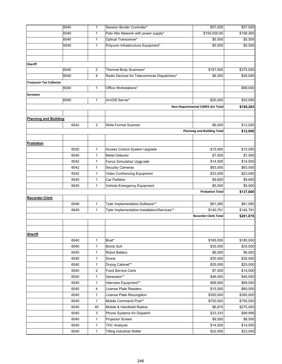|                                | 6040         | $\mathbf{1}$      | Session Border Controller*                   | \$57,000                                | \$57,000              |
|--------------------------------|--------------|-------------------|----------------------------------------------|-----------------------------------------|-----------------------|
|                                | 6040         | $\mathbf{1}$      | Palo Alto Network with power supply*         | \$159,000.00                            | \$158,265             |
|                                | 6040         | $\mathbf{1}$      | Optical Transceiver*                         | \$5,500                                 | \$5,500               |
|                                | 6040         | $\mathbf{1}$      | Polycom Infrastructure Equipment*            | \$5,500                                 | \$5,500               |
|                                |              |                   |                                              |                                         |                       |
|                                |              |                   |                                              |                                         |                       |
| <b>Sheriff</b>                 |              |                   |                                              |                                         |                       |
|                                | 6040         | $\sqrt{2}$        | Thermal Body Scanners*                       | \$187,500                               | $\overline{$375,000}$ |
|                                | 6040         | $\overline{4}$    | Radio Devices for Telecommute Dispatchers*   | \$6,500                                 | \$26,000              |
| <b>Treasurer-Tax Collector</b> |              |                   |                                              |                                         |                       |
|                                | 6040         | $\mathbf{1}$      | Office Workstations*                         |                                         | \$69,000              |
| Surveyor                       |              |                   |                                              |                                         |                       |
|                                | 6040         | $\mathbf{1}$      | ArcGIS Server*                               | \$20,000                                | \$20,000              |
|                                |              |                   |                                              | <b>Non-Departmental CARES Act Total</b> | \$749,265             |
|                                |              |                   |                                              |                                         |                       |
| <b>Planning and Building</b>   |              |                   |                                              |                                         |                       |
|                                | 6042         | 2                 | <b>Wide Format Scanner</b>                   | \$6,000                                 | \$12,000              |
|                                |              |                   |                                              | <b>Planning and Building Total</b>      | \$12,000              |
|                                |              |                   |                                              |                                         |                       |
| Probation                      |              |                   |                                              |                                         |                       |
|                                | 6020         | $\mathbf{1}$      | Access Control System Upgrade                | \$15,000                                | \$15,000              |
|                                | 6040         | $\mathbf{1}$      | <b>Metal Detector</b>                        | \$7,500                                 | \$7,500               |
|                                | 6042         | $\mathbf{1}$      | Force Simulator Upgrade                      | \$14,500                                | \$14,500              |
|                                | 6042         | 1                 | <b>Security Cameras</b>                      | \$63,000                                | \$63,000              |
|                                | 6042         | $\mathbf{1}$      | Video Confrencing Equipment                  | \$23,000                                | \$23,000              |
|                                | 6045         | $\mathbf{1}$      | Car Partition                                | \$9,600                                 | \$9,600               |
|                                | 6045         | $\mathbf{1}$      | Vehicle Emergency Equipment                  | \$5,000                                 | \$5,000               |
|                                |              |                   |                                              | <b>Probation Total</b>                  | \$137,600             |
|                                |              |                   |                                              |                                         |                       |
| <b>Recorder-Clerk</b>          | 6046         | $\mathbf{1}$      | Tyler Implementation-Software**              | \$61,085                                | \$61,085              |
|                                | 6049         | $\mathbf{1}$      | Tyler Implementation-Installation/Services** | \$140,791                               | \$140,791             |
|                                |              |                   |                                              | <b>Recorder-Clerk Total</b>             | \$201,876             |
|                                |              |                   |                                              |                                         |                       |
|                                |              |                   |                                              |                                         |                       |
| <b>Sheriff</b>                 |              |                   |                                              |                                         |                       |
|                                |              |                   |                                              |                                         | \$185,000             |
|                                | 6040<br>6040 | 1<br>$\mathbf{1}$ | Boat*<br><b>Bomb Suit</b>                    | \$185,000<br>\$35,000                   | \$35,000              |
|                                | 6040         | 1                 |                                              | \$6,000                                 | \$6,000               |
|                                | 6040         | 1                 | Robot Battery<br>Drone                       | \$30,000                                | \$30,000              |
|                                | 6040         | 1                 | Drying Cabinet**                             | \$25,000                                | \$25,000              |
|                                | 6040         | $\overline{c}$    | <b>Food Service Carts</b>                    | \$7,000                                 | \$14,000              |
|                                | 6040         | $\mathbf{1}$      | Generator**                                  | \$46,000                                | \$46,000              |
|                                | 6040         | $\mathbf{1}$      | Interview Equipment**                        | \$68,000                                | \$68,000              |
|                                | 6040         |                   | License Plate Readers                        | \$15,000                                | \$60,000              |
|                                | 6040         | 4<br>1            | License Plate Recongition                    | \$350,000                               | \$350,000             |
|                                |              |                   | Mobile Command Post**                        |                                         |                       |
|                                | 6040         | $\mathbf{1}$      |                                              | \$750,000                               | \$750,000             |
|                                | 6040         | 40                | Mobile & Handheld Radios                     | \$6,875                                 | \$275,000             |
|                                | 6040         | 3                 | Phone Systems for Dispatch                   | \$33,333                                | \$99,999              |
|                                | 6040         | 1                 | Projector Screen                             | \$8,500                                 | \$8,500               |
|                                | 6040         | $\mathbf{1}$      | <b>THC Analyzer</b>                          | \$14,500                                | \$14,500              |
|                                | 6040         | $\mathbf{1}$      | <b>Tilting Industrial Skillet</b>            | \$22,000                                | \$22,000              |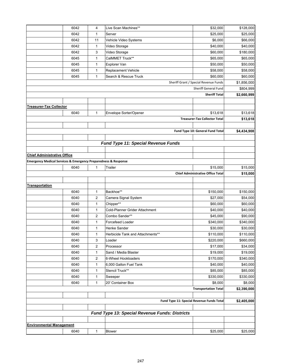|                                                                               | 6042 | 4                       | Live Scan Machines**                | \$32,000                                 | \$128,000   |
|-------------------------------------------------------------------------------|------|-------------------------|-------------------------------------|------------------------------------------|-------------|
|                                                                               | 6042 | $\mathbf{1}$            | Server                              | \$25,000                                 | \$25,000    |
|                                                                               | 6042 | 11                      | Vehicle Video Systems               | \$6,000                                  | \$66,000    |
|                                                                               | 6042 | $\mathbf{1}$            | Video Storage                       | \$40,000                                 | \$40,000    |
|                                                                               | 6042 | 3                       | Video Storage                       | \$60,000                                 | \$180,000   |
|                                                                               | 6045 | $\mathbf{1}$            | CalMMET Truck**                     | \$65,000                                 | \$65,000    |
|                                                                               | 6045 | $\mathbf{1}$            | <b>Explorer Van</b>                 | \$50,000                                 | \$50,000    |
|                                                                               | 6045 | $\mathbf{1}$            | Replacement Vehicle                 | \$58,000                                 | \$58,000    |
|                                                                               | 6045 | $\mathbf{1}$            | Search & Rescue Truck               | \$60,000                                 | \$60,000    |
|                                                                               |      |                         |                                     | Sheriff Grant / Special Revenue Funds    | \$1,856,000 |
|                                                                               |      |                         |                                     | Sheriff General Fund                     | \$804,999   |
|                                                                               |      |                         |                                     | <b>Sheriff Total</b>                     | \$2,660,999 |
|                                                                               |      |                         |                                     |                                          |             |
| <b>Treasurer-Tax Collector</b>                                                |      |                         |                                     |                                          |             |
|                                                                               | 6040 | 1                       | Envelope Sorter/Opener              | \$13,618                                 | \$13,618    |
|                                                                               |      |                         |                                     | <b>Treasurer-Tax Collector Total</b>     | \$13,618    |
|                                                                               |      |                         |                                     |                                          |             |
|                                                                               |      |                         |                                     | Fund Type 10: General Fund Total         | \$4,434,908 |
|                                                                               |      |                         |                                     |                                          |             |
|                                                                               |      |                         | Fund Type 11: Special Revenue Funds |                                          |             |
|                                                                               |      |                         |                                     |                                          |             |
| <b>Chief Administrative Office</b>                                            |      |                         |                                     |                                          |             |
| <b>Emergency Medical Services &amp; Emergency Preparedness &amp; Response</b> |      |                         |                                     |                                          |             |
|                                                                               | 6040 | $\mathbf{1}$            | Trailer                             | \$15,000                                 | \$15,000    |
|                                                                               |      |                         |                                     | <b>Chief Administrative Office Total</b> | \$15,000    |
|                                                                               |      |                         |                                     |                                          |             |
| <b>Transportation</b>                                                         |      |                         |                                     |                                          |             |
|                                                                               | 6040 | $\mathbf{1}$            | Backhoe**                           | \$150,000                                | \$150,000   |
|                                                                               | 6040 | $\overline{\mathbf{c}}$ | Camera Signal System                | \$27,000                                 | \$54,000    |
|                                                                               | 6040 | $\mathbf{1}$            | Chipper**                           | \$60,000                                 | \$60,000    |
|                                                                               | 6040 | $\mathbf{1}$            | Cold-Planner Grider Attachment      | \$40,000                                 | \$40,000    |
|                                                                               | 6040 | $\overline{2}$          | Combo Sander**                      | \$45,000                                 | \$90,000    |
|                                                                               | 6040 | $\mathbf{1}$            | <b>Forcefeed Loader</b>             | \$340,000                                | \$340,000   |
|                                                                               | 6040 | $\mathbf{1}$            | <b>Henke Sander</b>                 | \$30,000                                 | \$30,000    |
|                                                                               | 6040 | 1                       | Herbicide Tank and Attachments**    | \$110,000                                | \$110,000   |
|                                                                               | 6040 | 3                       | Loader                              | \$220,000                                | \$660,000   |
|                                                                               | 6040 | 2                       | Processor                           | \$17,000                                 | \$34,000    |
|                                                                               | 6040 | $\mathbf{1}$            | Sand / Media Blaster                | \$19,000                                 | \$19,000    |
|                                                                               | 6040 | $\overline{\mathbf{c}}$ | 6-Wheel Hookloaders                 | \$170,000                                | \$340,000   |
|                                                                               | 6040 | $\mathbf{1}$            | 6,000 Gallon Fuel Tank              | \$40,000                                 | \$40,000    |
|                                                                               | 6040 | $\mathbf{1}$            | Stencil Truck**                     | \$85,000                                 | \$85,000    |
|                                                                               | 6040 | $\mathbf{1}$            | Sweeper                             | \$330,000                                | \$330,000   |
|                                                                               | 6040 | $\mathbf{1}$            | 20' Container Box                   | \$8,000                                  | \$8,000     |
|                                                                               |      |                         |                                     | <b>Transportation Total</b>              | \$2,390,000 |
|                                                                               |      |                         |                                     |                                          |             |
| Fund Type 11: Special Revenue Funds Total                                     |      |                         |                                     |                                          | \$2,405,000 |
|                                                                               |      |                         |                                     |                                          |             |
| Fund Type 13: Special Revenue Funds: Districts                                |      |                         |                                     |                                          |             |
|                                                                               |      |                         |                                     |                                          |             |
| <b>Environmental Management</b>                                               |      |                         |                                     |                                          |             |
|                                                                               | 6040 | 1                       | Blower                              | \$25,000                                 | \$25,000    |